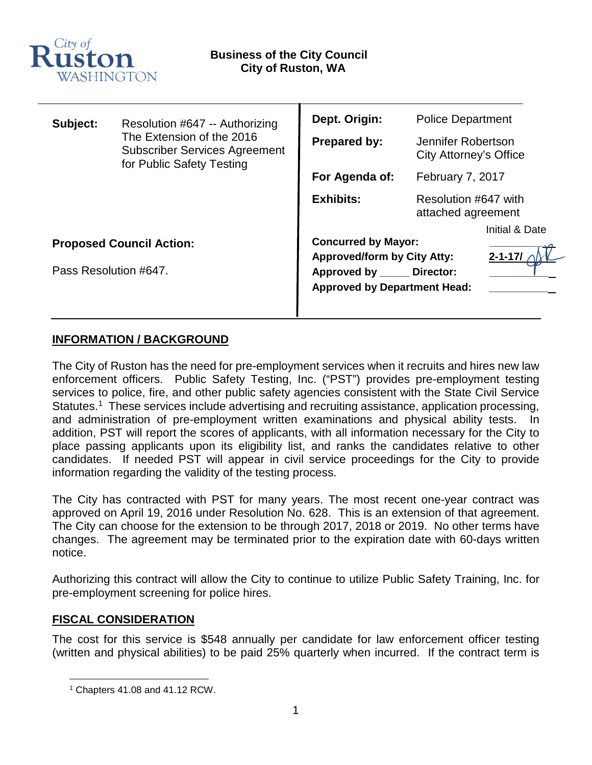

| Subject:                        | Resolution #647 -- Authorizing<br>The Extension of the 2016<br><b>Subscriber Services Agreement</b><br>for Public Safety Testing | Dept. Origin:                       | <b>Police Department</b>                     |                |
|---------------------------------|----------------------------------------------------------------------------------------------------------------------------------|-------------------------------------|----------------------------------------------|----------------|
|                                 |                                                                                                                                  | <b>Prepared by:</b>                 | Jennifer Robertson<br>City Attorney's Office |                |
|                                 |                                                                                                                                  | For Agenda of:                      | February 7, 2017                             |                |
|                                 |                                                                                                                                  | <b>Exhibits:</b>                    | Resolution #647 with<br>attached agreement   |                |
|                                 |                                                                                                                                  |                                     |                                              | Initial & Date |
| <b>Proposed Council Action:</b> |                                                                                                                                  | <b>Concurred by Mayor:</b>          |                                              |                |
|                                 |                                                                                                                                  | <b>Approved/form by City Atty:</b>  |                                              | $2 - 1 - 17/$  |
| Pass Resolution #647.           |                                                                                                                                  | Approved by Director:               |                                              |                |
|                                 |                                                                                                                                  | <b>Approved by Department Head:</b> |                                              |                |
|                                 |                                                                                                                                  |                                     |                                              |                |

### **INFORMATION / BACKGROUND**

The City of Ruston has the need for pre-employment services when it recruits and hires new law enforcement officers. Public Safety Testing, Inc. ("PST") provides pre-employment testing services to police, fire, and other public safety agencies consistent with the State Civil Service Statutes.<sup>[1](#page-0-0)</sup> These services include advertising and recruiting assistance, application processing, and administration of pre-employment written examinations and physical ability tests. In addition, PST will report the scores of applicants, with all information necessary for the City to place passing applicants upon its eligibility list, and ranks the candidates relative to other candidates. If needed PST will appear in civil service proceedings for the City to provide information regarding the validity of the testing process.

The City has contracted with PST for many years. The most recent one-year contract was approved on April 19, 2016 under Resolution No. 628. This is an extension of that agreement. The City can choose for the extension to be through 2017, 2018 or 2019. No other terms have changes. The agreement may be terminated prior to the expiration date with 60-days written notice.

Authorizing this contract will allow the City to continue to utilize Public Safety Training, Inc. for pre-employment screening for police hires.

### **FISCAL CONSIDERATION**

The cost for this service is \$548 annually per candidate for law enforcement officer testing (written and physical abilities) to be paid 25% quarterly when incurred. If the contract term is

<span id="page-0-0"></span><sup>1</sup> Chapters 41.08 and 41.12 RCW.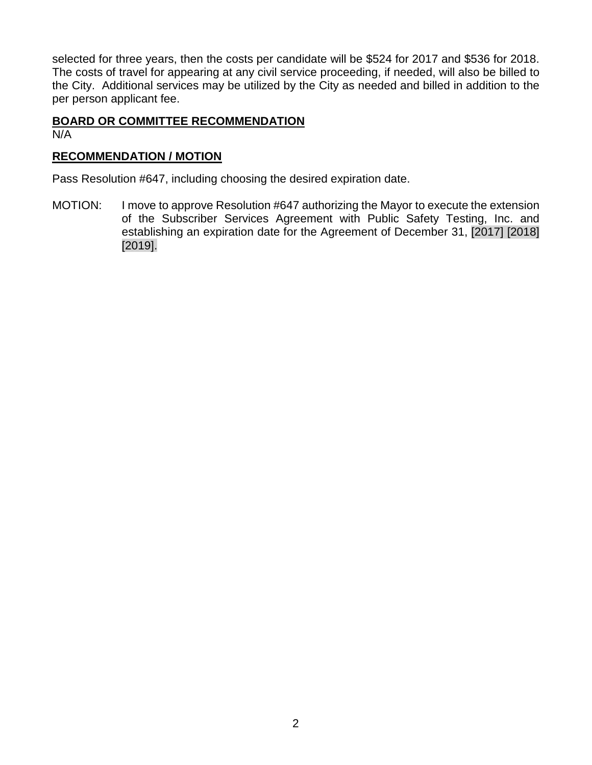selected for three years, then the costs per candidate will be \$524 for 2017 and \$536 for 2018. The costs of travel for appearing at any civil service proceeding, if needed, will also be billed to the City. Additional services may be utilized by the City as needed and billed in addition to the per person applicant fee.

### **BOARD OR COMMITTEE RECOMMENDATION** N/A

### **RECOMMENDATION / MOTION**

Pass Resolution #647, including choosing the desired expiration date.

MOTION: I move to approve Resolution #647 authorizing the Mayor to execute the extension of the Subscriber Services Agreement with Public Safety Testing, Inc. and establishing an expiration date for the Agreement of December 31, [2017] [2018] [2019].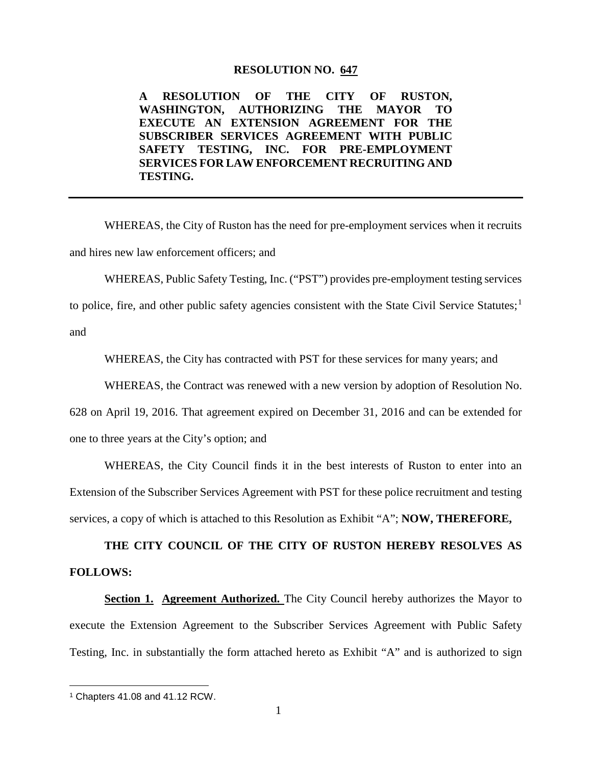### **RESOLUTION NO. 647**

**A RESOLUTION OF THE CITY OF RUSTON, WASHINGTON, AUTHORIZING THE MAYOR TO EXECUTE AN EXTENSION AGREEMENT FOR THE SUBSCRIBER SERVICES AGREEMENT WITH PUBLIC SAFETY TESTING, INC. FOR PRE-EMPLOYMENT SERVICES FOR LAW ENFORCEMENT RECRUITING AND TESTING.**

WHEREAS, the City of Ruston has the need for pre-employment services when it recruits and hires new law enforcement officers; and

WHEREAS, Public Safety Testing, Inc. ("PST") provides pre-employment testing services

to police, fire, and other public safety agencies consistent with the State Civil Service Statutes;<sup>[1](#page-2-0)</sup> and

WHEREAS, the City has contracted with PST for these services for many years; and

WHEREAS, the Contract was renewed with a new version by adoption of Resolution No.

628 on April 19, 2016. That agreement expired on December 31, 2016 and can be extended for one to three years at the City's option; and

WHEREAS, the City Council finds it in the best interests of Ruston to enter into an Extension of the Subscriber Services Agreement with PST for these police recruitment and testing services, a copy of which is attached to this Resolution as Exhibit "A"; **NOW, THEREFORE,**

**THE CITY COUNCIL OF THE CITY OF RUSTON HEREBY RESOLVES AS FOLLOWS:** 

**Section 1. Agreement Authorized.** The City Council hereby authorizes the Mayor to execute the Extension Agreement to the Subscriber Services Agreement with Public Safety Testing, Inc. in substantially the form attached hereto as Exhibit "A" and is authorized to sign

<span id="page-2-0"></span> <sup>1</sup> Chapters 41.08 and 41.12 RCW.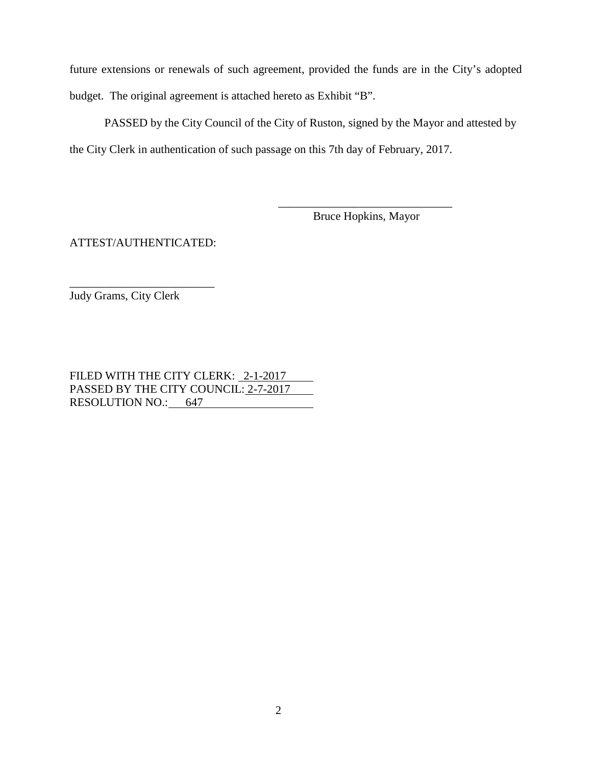future extensions or renewals of such agreement, provided the funds are in the City's adopted budget. The original agreement is attached hereto as Exhibit "B".

PASSED by the City Council of the City of Ruston, signed by the Mayor and attested by the City Clerk in authentication of such passage on this 7th day of February, 2017.

> \_\_\_\_\_\_\_\_\_\_\_\_\_\_\_\_\_\_\_\_\_\_\_\_\_\_\_\_\_\_ Bruce Hopkins, Mayor

ATTEST/AUTHENTICATED:

\_\_\_\_\_\_\_\_\_\_\_\_\_\_\_\_\_\_\_\_\_\_\_\_\_ Judy Grams, City Clerk

FILED WITH THE CITY CLERK: 2-1-2017 PASSED BY THE CITY COUNCIL: 2-7-2017 RESOLUTION NO.: 647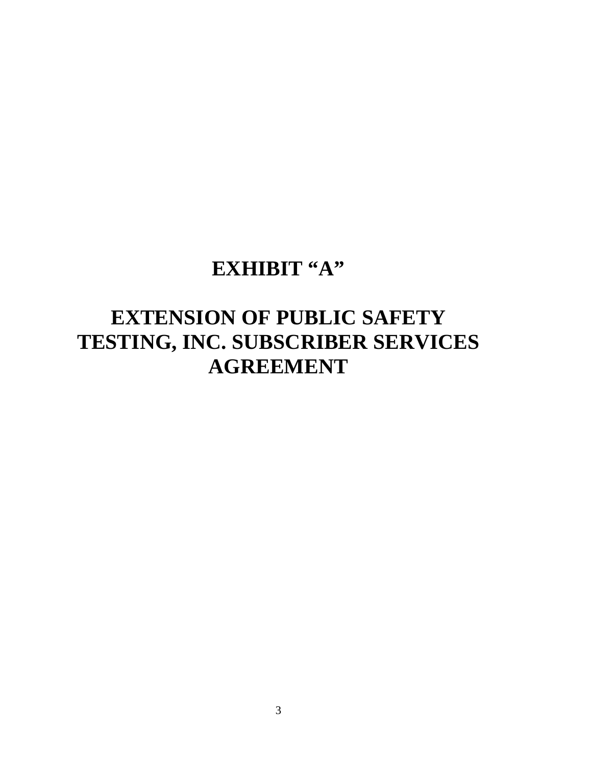## **EXHIBIT "A"**

# **EXTENSION OF PUBLIC SAFETY TESTING, INC. SUBSCRIBER SERVICES AGREEMENT**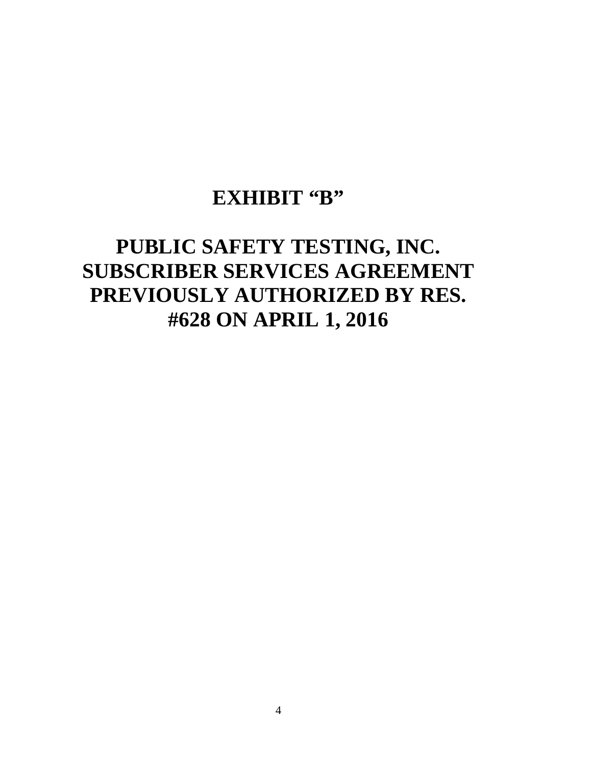## EXHIBIT "B"

# **PUBLIC SAFETY TESTING, INC. SUBSCRIBER SERVICES AGREEMENT PREVIOUSLY AUTHORIZED BY RES. #628 ON APRIL 1, 2016**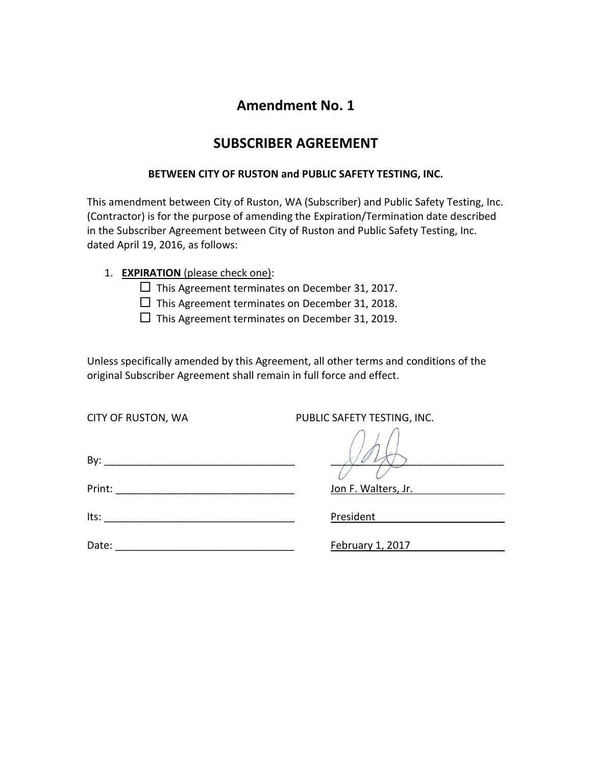### **Amendment No. 1**

### **SUBSCRIBER AGREEMENT**

### **BETWEEN CITY OF RUSTON and PUBLIC SAFETY TESTING, INC.**

This amendment between City of Ruston, WA (Subscriber) and Public Safety Testing, Inc. (Contractor) is for the purpose of amending the Expiration/Termination date described in the Subscriber Agreement between City of Ruston and Public Safety Testing, Inc. dated April 19, 2016, as follows:

- 1. **EXPIRATION** (please check one):
	- $\Box$  This Agreement terminates on December 31, 2017.
	- $\Box$  This Agreement terminates on December 31, 2018.
	- $\Box$  This Agreement terminates on December 31, 2019.

Unless specifically amended by this Agreement, all other terms and conditions of the original Subscriber Agreement shall remain in full force and effect.

CITY OF RUSTON, WA PUBLIC SAFETY TESTING, INC.

By: \_\_\_\_\_\_\_\_\_\_\_\_\_\_\_\_\_\_\_\_\_\_\_\_\_\_\_\_\_\_\_\_\_ \_\_\_\_\_\_\_\_\_\_\_\_\_\_\_\_\_\_\_\_\_\_\_\_\_\_\_\_\_\_

| Its:<br>__________ |
|--------------------|
|--------------------|

Date: \_\_\_\_\_\_\_\_\_\_\_\_\_\_\_\_\_\_\_\_\_\_\_\_\_\_\_\_\_\_\_ February 1, 2017

Jon F. Walters, Jr.

President and the set of the set of the set of the set of the set of the set of the set of the set of the set o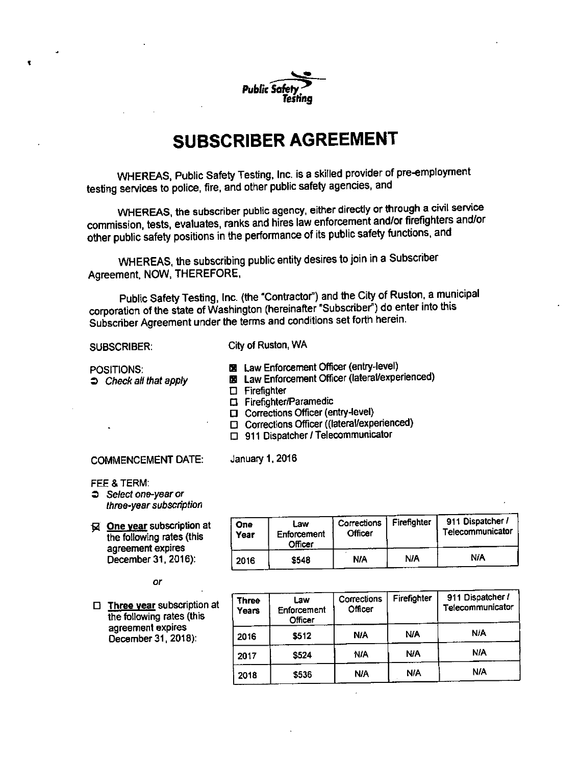

## **SUBSCRIBER AGREEMENT**

WHEREAS, Public Safety Testing, Inc. is a skilled provider of pre-employment testing services to police, fire, and other public safety agencies, and

WHEREAS, the subscriber public agency, either directly or through a civil service commission, tests, evaluates, ranks and hires law enforcement and/or firefighters and/or other public safety positions in the performance of its public safety functions, and

WHEREAS, the subscribing public entity desires to join in a Subscriber Agreement, NOW, THEREFORE,

Public Safety Testing, Inc. (the "Contractor") and the City of Ruston, a municipal corporation of the state of Washington (hereinafter "Subscriber") do enter into this Subscriber Agreement under the terms and conditions set forth herein.

#### **SUBSCRIBER:**

City of Ruston, WA

- POSITIONS:  $\Rightarrow$  Check all that apply
- **El** Law Enforcement Officer (entry-level)
- **E** Law Enforcement Officer (lateral/experienced)
- $\Box$  Firefighter

January 1, 2016

- □ Firefighter/Paramedic
- Corrections Officer (entry-level)
- □ Corrections Officer ((lateral/experienced)
- $\Box$  911 Dispatcher / Telecommunicator

**COMMENCEMENT DATE:** 

FEE & TERM:

- $\supset$  Select one-year or three-year subscription
- Q One year subscription at the following rates (this agreement expires December 31, 2016):

#### or

 $\Box$  Three year subscription at the following rates (this agreement expires December 31, 2018):

| One<br>Year | Law<br>Enforcement<br>Officer | Corrections<br>Officer | Firefighter | 911 Dispatcher /<br>Telecommunicator |
|-------------|-------------------------------|------------------------|-------------|--------------------------------------|
| 2016        | \$548                         | NA                     | NIA         | NA                                   |

| <b>Three</b><br>Years | Law<br>Enforcement<br>Officer | Corrections<br>Officer | Firefighter | 911 Dispatcher /<br>Telecommunicator |
|-----------------------|-------------------------------|------------------------|-------------|--------------------------------------|
| 2016                  | \$512                         | <b>N/A</b>             | <b>N/A</b>  | N/A                                  |
| 2017                  | \$524                         | NIA                    | NIA         | <b>NIA</b>                           |
| 2018                  | \$536                         | <b>N/A</b>             | <b>N/A</b>  | <b>N/A</b>                           |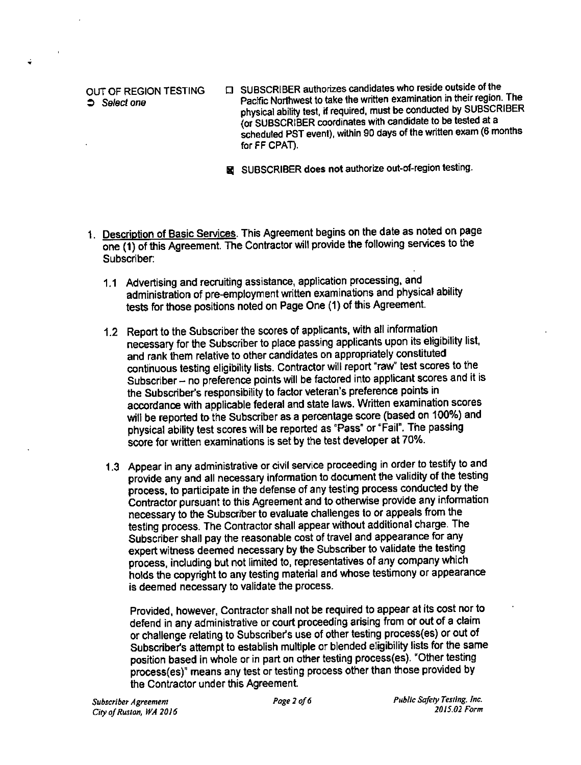### OUT OF REGION TESTING  $S<sub>e</sub>$  Select one

**CI** SUBSCRIBER authorizes candidates who reside outside of the Pacific Northwest to take the written examination in their region. The physical ability test, if required, must be conducted by SUBSCRIBER (or SUBSCRIBER coordinates with candidate to be tested at a scheduled PST event), within 90 days of the written exam (6 months for FF CPAT).

SUBSCRIBER does not authorize out-of-region testing.

- 1. Description of Basic Services. This Agreement begins on the date as noted on page one (1) of this Agreement. The Contractor will provide the following services to the Subscriber:
	- 1.1 Advertising and recruiting assistance, application processing, and administration of pre-employment written examinations and physical ability tests for those positions noted on Page One (1) of this Agreement.
	- 1.2 Report to the Subscriber the scores of applicants, with all information necessary for the Subscriber to place passing applicants upon its eligibility list, and rank them relative to other candidates on appropriately constituted continuous testing eligibility lists. Contractor will report "raw" test scores to the Subscriber - no preference points will be factored into applicant scores and it is the Subscriber's responsibility to factor veteran's preference points in accordance with applicable federal and state laws. Written examination scores will be reported to the Subscriber as a percentage score (based on 100%) and physical ability test scores will be reported as "Pass" or "Fail". The passing score for written examinations is set by the test developer at 70%.
	- 1.3 Appear in any administrative or civil service proceeding in order to testify to and provide any and all necessary information to document the validity of the testing process, to participate in the defense of any testing process conducted by the Contractor pursuant to this Agreement and to otherwise provide any information necessary to the Subscriber to evaluate challenges to or appeals from the testing process. The Contractor shall appear without additional charge. The Subscriber shall pay the reasonable cost of travel and appearance for any expert witness deemed necessary by the Subscriber to validate the testing process, including but not limited to, representatives of any company which holds the copyright to any testing material and whose testimony or appearance is deemed necessary to validate the process.

Provided, however, Contractor shall not be required to appear at its cost nor to defend in any administrative or court proceeding arising from or out of a claim or challenge relating to Subscriber's use of other testing process(es) or out of Subscriber's attempt to establish multiple or blended eligibility lists for the same position based in whole or in part on other testing process(es). "Other testing process(es)" means any test or testing process other than those provided by the Contractor under this Agreement.

Public Safety Testing. Inc. 2015.02 Form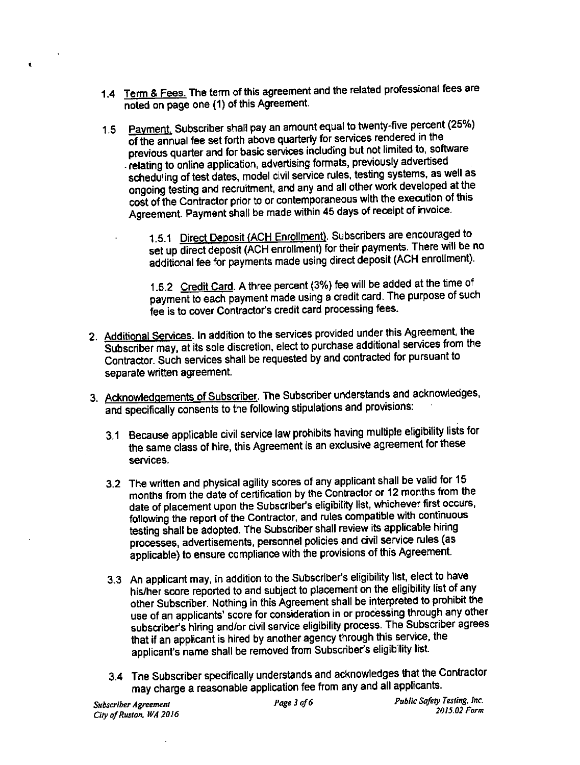- 1.4 Term & Fees. The term of this agreement and the related professional fees are noted on page one (1) of this Agreement.
- 1.5 Payment. Subscriber shall pay an amount equal to twenty-five percent (25%) of the annual fee set forth above quarterly for services rendered in the previous quarter and for basic services including but not limited to, software relating to online application, advertising formats, previously advertised scheduling of test dates, model civil service rules, testing systems, as well as ongoing testing and recruitment, and any and all other work developed at the cost of the Contractor prior to or contemporaneous with the execution of this Agreement. Payment shall be made within 45 days of receipt of invoice.
	- 1.5.1 Direct Deposit (ACH Enrollment). Subscribers are encouraged to set up direct deposit (ACH enrollment) for their payments. There will be no additional fee for payments made using direct deposit (ACH enrollment).

1.5.2 Credit Card. A three percent (3%) fee will be added at the time of payment to each payment made using a credit card. The purpose of such fee is to cover Contractor's credit card processing fees.

- 2. Additional Services. In addition to the services provided under this Agreement, the Subscriber may, at its sole discretion, elect to purchase additional services from the Contractor. Such services shall be requested by and contracted for pursuant to separate written agreement.
- 3. Acknowledgements of Subscriber. The Subscriber understands and acknowledges, and specifically consents to the following stipulations and provisions:
	- 3.1 Because applicable civil service law prohibits having multiple eligibility lists for the same class of hire, this Agreement is an exclusive agreement for these services.
	- 3.2 The written and physical agility scores of any applicant shall be valid for 15 months from the date of certification by the Contractor or 12 months from the date of placement upon the Subscriber's eligibility list, whichever first occurs, following the report of the Contractor, and rules compatible with continuous testing shall be adopted. The Subscriber shall review its applicable hiring processes, advertisements, personnel policies and civil service rules (as applicable) to ensure compliance with the provisions of this Agreement.
	- 3.3 An applicant may, in addition to the Subscriber's eligibility list, elect to have his/her score reported to and subject to placement on the eligibility list of any other Subscriber. Nothing in this Agreement shall be interpreted to prohibit the use of an applicants' score for consideration in or processing through any other subscriber's hiring and/or civil service eligibility process. The Subscriber agrees that if an applicant is hired by another agency through this service, the applicant's name shall be removed from Subscriber's eligibility list.
	- 3.4 The Subscriber specifically understands and acknowledges that the Contractor may charge a reasonable application fee from any and all applicants.

ť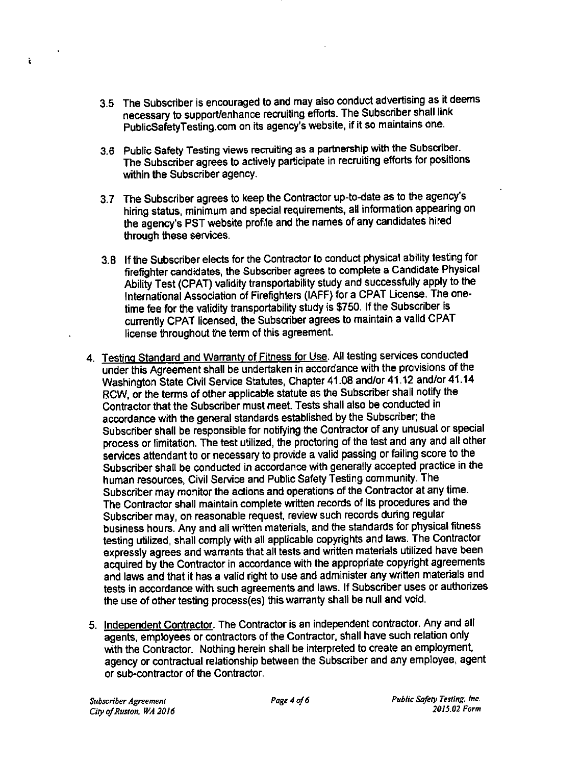- 3.5 The Subscriber is encouraged to and may also conduct advertising as it deems necessary to support/enhance recruiting efforts. The Subscriber shall link PublicSafetyTesting.com on its agency's website, if it so maintains one.
- 3.6 Public Safety Testing views recruiting as a partnership with the Subscriber. The Subscriber agrees to actively participate in recruiting efforts for positions within the Subscriber agency.
- 3.7 The Subscriber agrees to keep the Contractor up-to-date as to the agency's hiring status, minimum and special requirements, all information appearing on the agency's PST website profile and the names of any candidates hired through these services.
- 3.8 If the Subscriber elects for the Contractor to conduct physical ability testing for firefighter candidates, the Subscriber agrees to complete a Candidate Physical Ability Test (CPAT) validity transportability study and successfully apply to the International Association of Firefighters (IAFF) for a CPAT License. The onetime fee for the validity transportability study is \$750. If the Subscriber is currently CPAT licensed, the Subscriber agrees to maintain a valid CPAT license throughout the term of this agreement.
- 4. Testing Standard and Warranty of Fitness for Use. All testing services conducted under this Agreement shall be undertaken in accordance with the provisions of the Washington State Civil Service Statutes, Chapter 41.08 and/or 41.12 and/or 41.14 RCW, or the terms of other applicable statute as the Subscriber shall notify the Contractor that the Subscriber must meet. Tests shall also be conducted in accordance with the general standards established by the Subscriber; the Subscriber shall be responsible for notifying the Contractor of any unusual or special process or limitation. The test utilized, the proctoring of the test and any and all other services attendant to or necessary to provide a valid passing or failing score to the Subscriber shall be conducted in accordance with generally accepted practice in the human resources, Civil Service and Public Safety Testing community. The Subscriber may monitor the actions and operations of the Contractor at any time. The Contractor shall maintain complete written records of its procedures and the Subscriber may, on reasonable request, review such records during regular business hours. Any and all written materials, and the standards for physical fitness testing utilized, shall comply with all applicable copyrights and laws. The Contractor expressly agrees and warrants that all tests and written materials utilized have been acquired by the Contractor in accordance with the appropriate copyright agreements and laws and that it has a valid right to use and administer any written materials and tests in accordance with such agreements and laws. If Subscriber uses or authorizes the use of other testing process(es) this warranty shall be null and void.
- 5. Independent Contractor. The Contractor is an independent contractor. Any and all agents, employees or contractors of the Contractor, shall have such relation only with the Contractor. Nothing herein shall be interpreted to create an employment, agency or contractual relationship between the Subscriber and any employee, agent or sub-contractor of the Contractor.

ĩ

Public Safety Testing, Inc. 2015.02 Form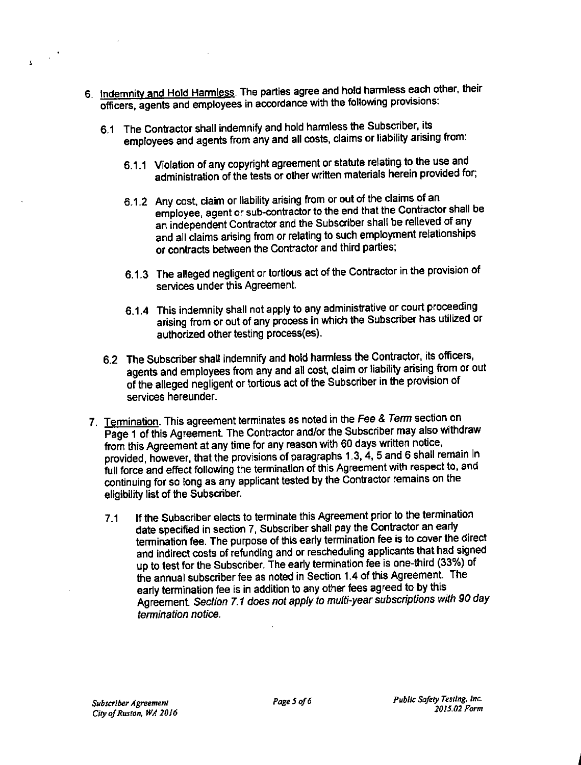- 6. Indemnity and Hold Harmless. The parties agree and hold harmless each other, their officers, agents and employees in accordance with the following provisions:
	- 6.1 The Contractor shall indemnify and hold harmless the Subscriber, its employees and agents from any and all costs, claims or liability arising from:
		- 6.1.1 Violation of any copyright agreement or statute relating to the use and administration of the tests or other written materials herein provided for;
		- 6.1.2 Any cost, claim or liability arising from or out of the claims of an employee, agent or sub-contractor to the end that the Contractor shall be an independent Contractor and the Subscriber shall be relieved of any and all claims arising from or relating to such employment relationships or contracts between the Contractor and third parties;
		- 6.1.3 The alleged negligent or tortious act of the Contractor in the provision of services under this Agreement.
		- 6.1.4 This indemnity shall not apply to any administrative or court proceeding arising from or out of any process in which the Subscriber has utilized or authorized other testing process(es).
	- 6.2 The Subscriber shall indemnify and hold harmless the Contractor, its officers, agents and employees from any and all cost, claim or liability arising from or out of the alleged negligent or tortious act of the Subscriber in the provision of services hereunder.
	- 7. Termination. This agreement terminates as noted in the Fee & Term section on Page 1 of this Agreement. The Contractor and/or the Subscriber may also withdraw from this Agreement at any time for any reason with 60 days written notice, provided, however, that the provisions of paragraphs 1.3, 4, 5 and 6 shall remain in full force and effect following the termination of this Agreement with respect to, and continuing for so long as any applicant tested by the Contractor remains on the eligibility list of the Subscriber.
		- If the Subscriber elects to terminate this Agreement prior to the termination  $7.1$ date specified in section 7. Subscriber shall pay the Contractor an early termination fee. The purpose of this early termination fee is to cover the direct and indirect costs of refunding and or rescheduling applicants that had signed up to test for the Subscriber. The early termination fee is one-third (33%) of the annual subscriber fee as noted in Section 1.4 of this Agreement. The early termination fee is in addition to any other fees agreed to by this Agreement. Section 7.1 does not apply to multi-year subscriptions with 90 day termination notice.